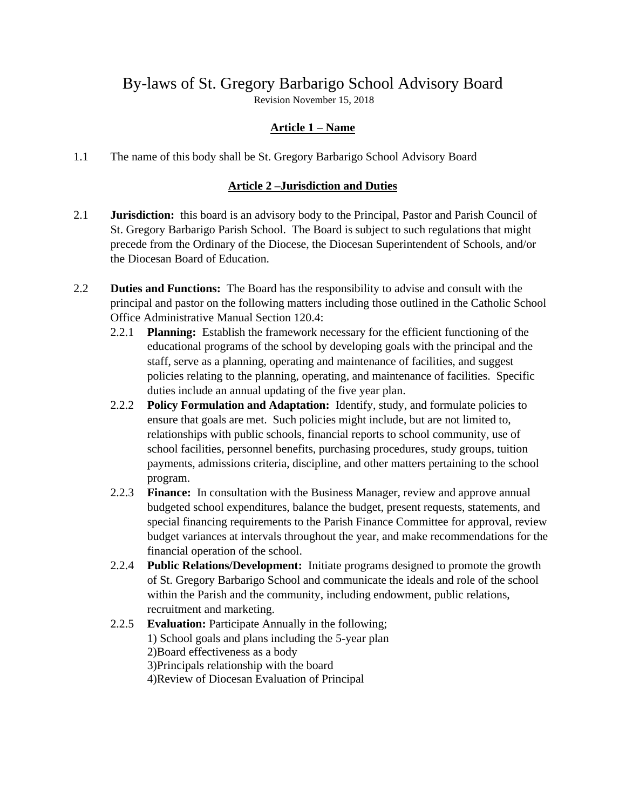# By-laws of St. Gregory Barbarigo School Advisory Board

Revision November 15, 2018

# **Article 1 – Name**

1.1 The name of this body shall be St. Gregory Barbarigo School Advisory Board

## **Article 2 –Jurisdiction and Duties**

- 2.1 **Jurisdiction:** this board is an advisory body to the Principal, Pastor and Parish Council of St. Gregory Barbarigo Parish School. The Board is subject to such regulations that might precede from the Ordinary of the Diocese, the Diocesan Superintendent of Schools, and/or the Diocesan Board of Education.
- 2.2 **Duties and Functions:** The Board has the responsibility to advise and consult with the principal and pastor on the following matters including those outlined in the Catholic School Office Administrative Manual Section 120.4:
	- 2.2.1 **Planning:** Establish the framework necessary for the efficient functioning of the educational programs of the school by developing goals with the principal and the staff, serve as a planning, operating and maintenance of facilities, and suggest policies relating to the planning, operating, and maintenance of facilities. Specific duties include an annual updating of the five year plan.
	- 2.2.2 **Policy Formulation and Adaptation:** Identify, study, and formulate policies to ensure that goals are met. Such policies might include, but are not limited to, relationships with public schools, financial reports to school community, use of school facilities, personnel benefits, purchasing procedures, study groups, tuition payments, admissions criteria, discipline, and other matters pertaining to the school program.
	- 2.2.3 **Finance:** In consultation with the Business Manager, review and approve annual budgeted school expenditures, balance the budget, present requests, statements, and special financing requirements to the Parish Finance Committee for approval, review budget variances at intervals throughout the year, and make recommendations for the financial operation of the school.
	- 2.2.4 **Public Relations/Development:** Initiate programs designed to promote the growth of St. Gregory Barbarigo School and communicate the ideals and role of the school within the Parish and the community, including endowment, public relations, recruitment and marketing.
	- 2.2.5 **Evaluation:** Participate Annually in the following; 1) School goals and plans including the 5-year plan 2)Board effectiveness as a body 3)Principals relationship with the board 4)Review of Diocesan Evaluation of Principal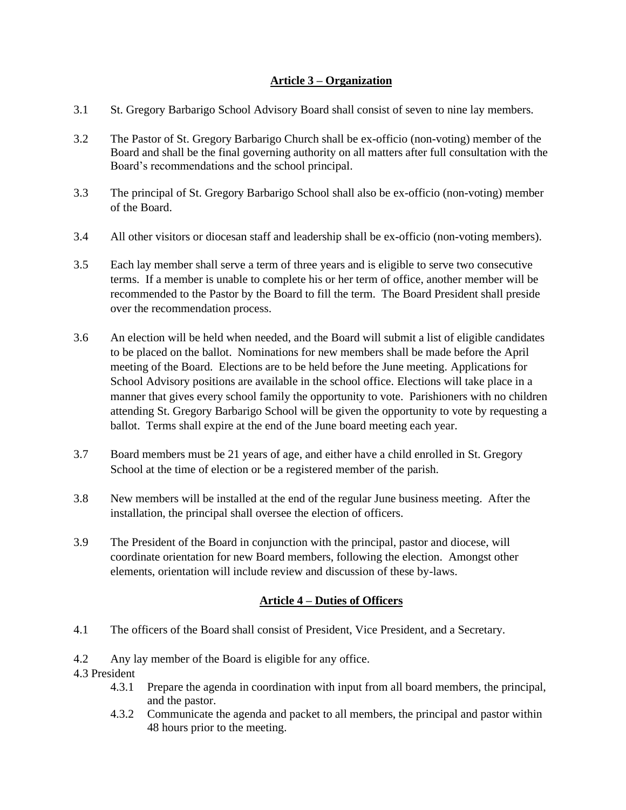### **Article 3 – Organization**

- 3.1 St. Gregory Barbarigo School Advisory Board shall consist of seven to nine lay members.
- 3.2 The Pastor of St. Gregory Barbarigo Church shall be ex-officio (non-voting) member of the Board and shall be the final governing authority on all matters after full consultation with the Board's recommendations and the school principal.
- 3.3 The principal of St. Gregory Barbarigo School shall also be ex-officio (non-voting) member of the Board.
- 3.4 All other visitors or diocesan staff and leadership shall be ex-officio (non-voting members).
- 3.5 Each lay member shall serve a term of three years and is eligible to serve two consecutive terms. If a member is unable to complete his or her term of office, another member will be recommended to the Pastor by the Board to fill the term. The Board President shall preside over the recommendation process.
- 3.6 An election will be held when needed, and the Board will submit a list of eligible candidates to be placed on the ballot. Nominations for new members shall be made before the April meeting of the Board. Elections are to be held before the June meeting. Applications for School Advisory positions are available in the school office. Elections will take place in a manner that gives every school family the opportunity to vote. Parishioners with no children attending St. Gregory Barbarigo School will be given the opportunity to vote by requesting a ballot. Terms shall expire at the end of the June board meeting each year.
- 3.7 Board members must be 21 years of age, and either have a child enrolled in St. Gregory School at the time of election or be a registered member of the parish.
- 3.8 New members will be installed at the end of the regular June business meeting. After the installation, the principal shall oversee the election of officers.
- 3.9 The President of the Board in conjunction with the principal, pastor and diocese, will coordinate orientation for new Board members, following the election. Amongst other elements, orientation will include review and discussion of these by-laws.

#### **Article 4 – Duties of Officers**

- 4.1 The officers of the Board shall consist of President, Vice President, and a Secretary.
- 4.2 Any lay member of the Board is eligible for any office.
- 4.3 President
	- 4.3.1 Prepare the agenda in coordination with input from all board members, the principal, and the pastor.
	- 4.3.2 Communicate the agenda and packet to all members, the principal and pastor within 48 hours prior to the meeting.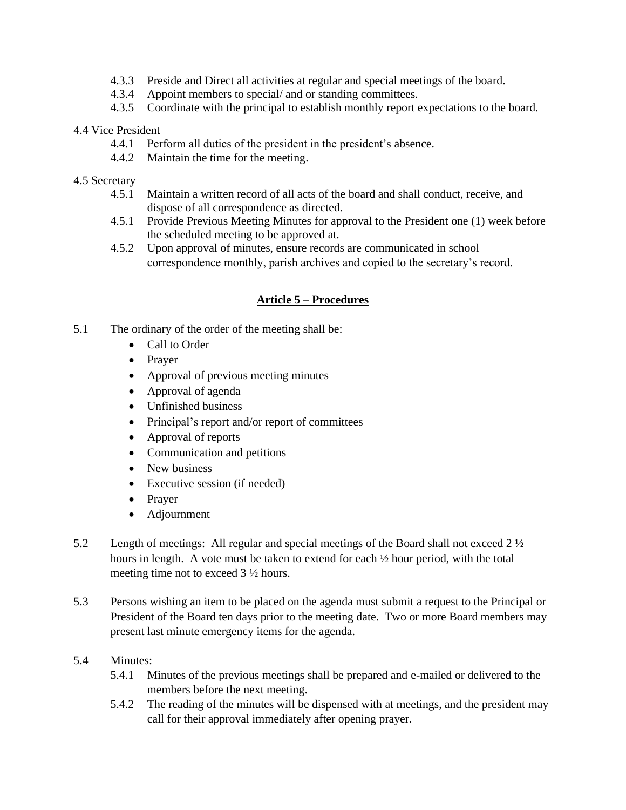- 4.3.3 Preside and Direct all activities at regular and special meetings of the board.
- 4.3.4 Appoint members to special/ and or standing committees.
- 4.3.5 Coordinate with the principal to establish monthly report expectations to the board.

#### 4.4 Vice President

- 4.4.1 Perform all duties of the president in the president's absence.
- 4.4.2 Maintain the time for the meeting.

#### 4.5 Secretary

- 4.5.1 Maintain a written record of all acts of the board and shall conduct, receive, and dispose of all correspondence as directed.
- 4.5.1 Provide Previous Meeting Minutes for approval to the President one (1) week before the scheduled meeting to be approved at.
- 4.5.2 Upon approval of minutes, ensure records are communicated in school correspondence monthly, parish archives and copied to the secretary's record.

## **Article 5 – Procedures**

- 5.1 The ordinary of the order of the meeting shall be:
	- Call to Order
	- Prayer
	- Approval of previous meeting minutes
	- Approval of agenda
	- Unfinished business
	- Principal's report and/or report of committees
	- Approval of reports
	- Communication and petitions
	- New business
	- Executive session (if needed)
	- Prayer
	- Adjournment
- 5.2 Length of meetings: All regular and special meetings of the Board shall not exceed 2 ½ hours in length. A vote must be taken to extend for each ½ hour period, with the total meeting time not to exceed 3 ½ hours.
- 5.3 Persons wishing an item to be placed on the agenda must submit a request to the Principal or President of the Board ten days prior to the meeting date. Two or more Board members may present last minute emergency items for the agenda.

#### 5.4 Minutes:

- 5.4.1 Minutes of the previous meetings shall be prepared and e-mailed or delivered to the members before the next meeting.
- 5.4.2 The reading of the minutes will be dispensed with at meetings, and the president may call for their approval immediately after opening prayer.